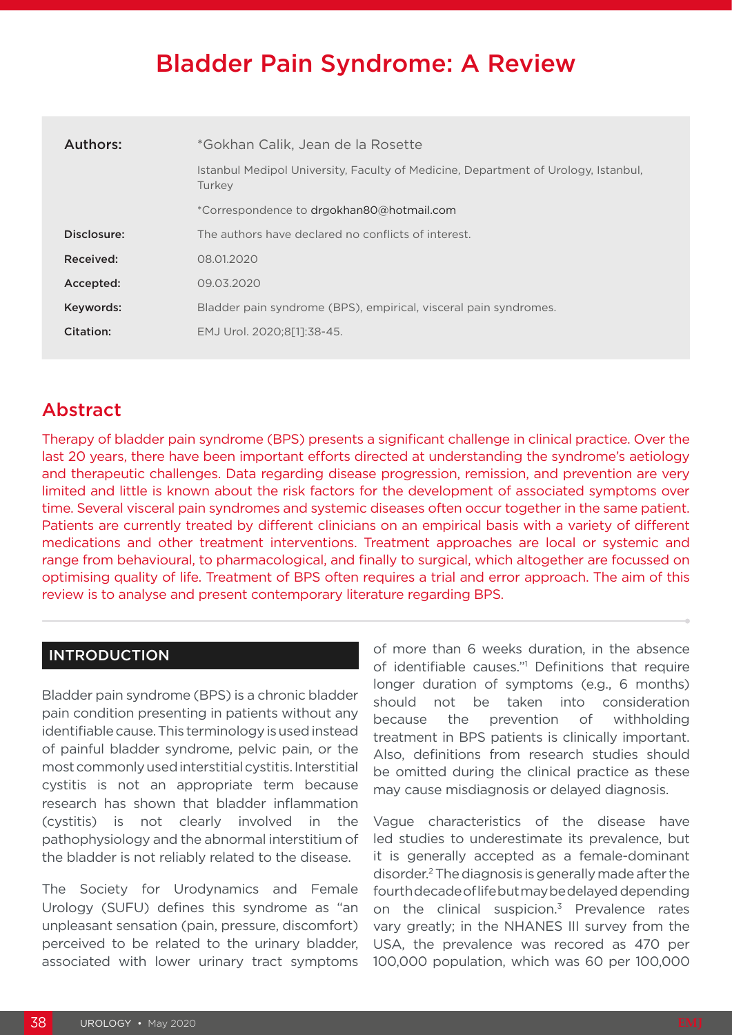# Bladder Pain Syndrome: A Review

| Authors:    | *Gokhan Calik, Jean de la Rosette                                                            |
|-------------|----------------------------------------------------------------------------------------------|
|             | Istanbul Medipol University, Faculty of Medicine, Department of Urology, Istanbul,<br>Turkey |
|             | *Correspondence to drgokhan80@hotmail.com                                                    |
| Disclosure: | The authors have declared no conflicts of interest.                                          |
| Received:   | 08.01.2020                                                                                   |
| Accepted:   | 09.03.2020                                                                                   |
| Keywords:   | Bladder pain syndrome (BPS), empirical, visceral pain syndromes.                             |
| Citation:   | EMJ Urol. 2020:8[1]:38-45.                                                                   |
|             |                                                                                              |

## Abstract

Therapy of bladder pain syndrome (BPS) presents a significant challenge in clinical practice. Over the last 20 years, there have been important efforts directed at understanding the syndrome's aetiology and therapeutic challenges. Data regarding disease progression, remission, and prevention are very limited and little is known about the risk factors for the development of associated symptoms over time. Several visceral pain syndromes and systemic diseases often occur together in the same patient. Patients are currently treated by different clinicians on an empirical basis with a variety of different medications and other treatment interventions. Treatment approaches are local or systemic and range from behavioural, to pharmacological, and finally to surgical, which altogether are focussed on optimising quality of life. Treatment of BPS often requires a trial and error approach. The aim of this review is to analyse and present contemporary literature regarding BPS.

### INTRODUCTION

Bladder pain syndrome (BPS) is a chronic bladder pain condition presenting in patients without any identifiable cause. This terminology is used instead of painful bladder syndrome, pelvic pain, or the most commonly used interstitial cystitis. Interstitial cystitis is not an appropriate term because research has shown that bladder inflammation (cystitis) is not clearly involved in the pathophysiology and the abnormal interstitium of the bladder is not reliably related to the disease.

The Society for Urodynamics and Female Urology (SUFU) defines this syndrome as "an unpleasant sensation (pain, pressure, discomfort) perceived to be related to the urinary bladder, associated with lower urinary tract symptoms

of more than 6 weeks duration, in the absence of identifiable causes."<sup>1</sup> Definitions that require longer duration of symptoms (e.g., 6 months) should not be taken into consideration because the prevention of withholding treatment in BPS patients is clinically important. Also, definitions from research studies should be omitted during the clinical practice as these may cause misdiagnosis or delayed diagnosis.

Vague characteristics of the disease have led studies to underestimate its prevalence, but it is generally accepted as a female-dominant disorder.2 The diagnosis is generally made after the fourth decade of life but may be delayed depending on the clinical suspicion.3 Prevalence rates vary greatly; in the NHANES III survey from the USA, the prevalence was recored as 470 per 100,000 population, which was 60 per 100,000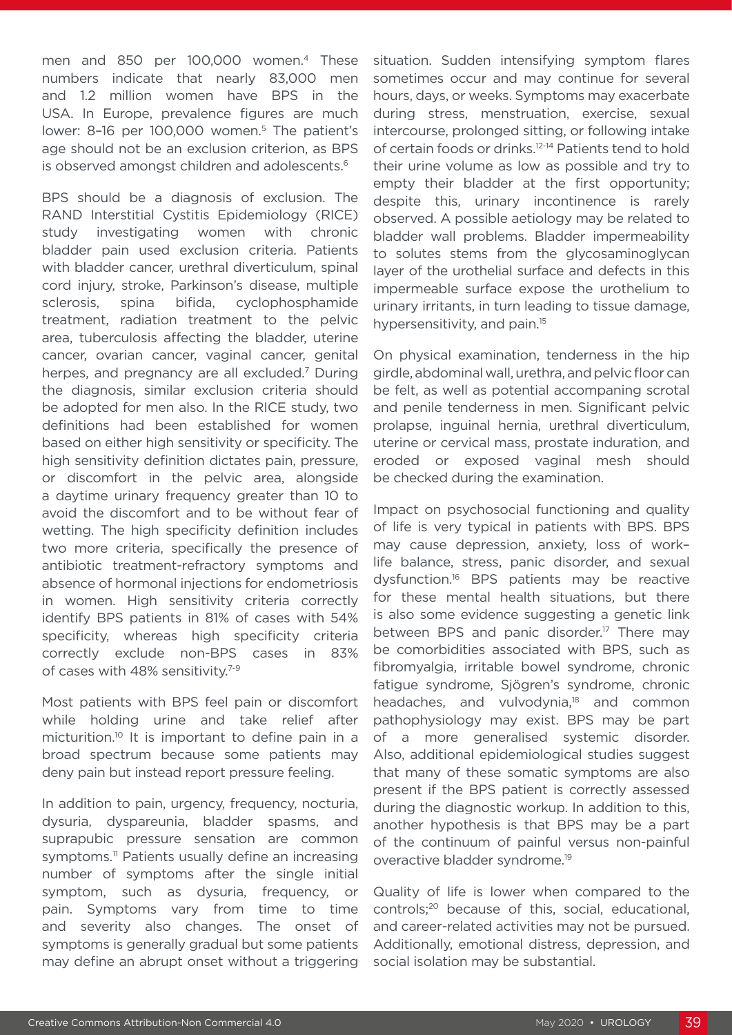men and 850 per 100,000 women.4 These numbers indicate that nearly 83,000 men and 1.2 million women have BPS in the USA. In Europe, prevalence figures are much lower: 8-16 per 100,000 women.<sup>5</sup> The patient's age should not be an exclusion criterion, as BPS is observed amongst children and adolescents.<sup>6</sup>

BPS should be a diagnosis of exclusion. The RAND Interstitial Cystitis Epidemiology (RICE) study investigating women with chronic bladder pain used exclusion criteria. Patients with bladder cancer, urethral diverticulum, spinal cord injury, stroke, Parkinson's disease, multiple sclerosis, spina bifida, cyclophosphamide treatment, radiation treatment to the pelvic area, tuberculosis affecting the bladder, uterine cancer, ovarian cancer, vaginal cancer, genital herpes, and pregnancy are all excluded.<sup>7</sup> During the diagnosis, similar exclusion criteria should be adopted for men also. In the RICE study, two definitions had been established for women based on either high sensitivity or specificity. The high sensitivity definition dictates pain, pressure, or discomfort in the pelvic area, alongside a daytime urinary frequency greater than 10 to avoid the discomfort and to be without fear of wetting. The high specificity definition includes two more criteria, specifically the presence of antibiotic treatment-refractory symptoms and absence of hormonal injections for endometriosis in women. High sensitivity criteria correctly identify BPS patients in 81% of cases with 54% specificity, whereas high specificity criteria correctly exclude non-BPS cases in 83% of cases with 48% sensitivity.<sup>7-9</sup>

Most patients with BPS feel pain or discomfort while holding urine and take relief after micturition.10 It is important to define pain in a broad spectrum because some patients may deny pain but instead report pressure feeling.

In addition to pain, urgency, frequency, nocturia, dysuria, dyspareunia, bladder spasms, and suprapubic pressure sensation are common symptoms.<sup>11</sup> Patients usually define an increasing number of symptoms after the single initial symptom, such as dysuria, frequency, or pain. Symptoms vary from time to time and severity also changes. The onset of symptoms is generally gradual but some patients may define an abrupt onset without a triggering

situation. Sudden intensifying symptom flares sometimes occur and may continue for several hours, days, or weeks. Symptoms may exacerbate during stress, menstruation, exercise, sexual intercourse, prolonged sitting, or following intake of certain foods or drinks.12-14 Patients tend to hold their urine volume as low as possible and try to empty their bladder at the first opportunity; despite this, urinary incontinence is rarely observed. A possible aetiology may be related to bladder wall problems. Bladder impermeability to solutes stems from the glycosaminoglycan layer of the urothelial surface and defects in this impermeable surface expose the urothelium to urinary irritants, in turn leading to tissue damage, hypersensitivity, and pain.15

On physical examination, tenderness in the hip girdle, abdominal wall, urethra, and pelvic floor can be felt, as well as potential accompaning scrotal and penile tenderness in men. Significant pelvic prolapse, inguinal hernia, urethral diverticulum, uterine or cervical mass, prostate induration, and eroded or exposed vaginal mesh should be checked during the examination.

Impact on psychosocial functioning and quality of life is very typical in patients with BPS. BPS may cause depression, anxiety, loss of work– life balance, stress, panic disorder, and sexual dysfunction.16 BPS patients may be reactive for these mental health situations, but there is also some evidence suggesting a genetic link between BPS and panic disorder.<sup>17</sup> There may be comorbidities associated with BPS, such as fibromyalgia, irritable bowel syndrome, chronic fatigue syndrome, Sjögren's syndrome, chronic headaches, and vulvodynia,<sup>18</sup> and common pathophysiology may exist. BPS may be part of a more generalised systemic disorder. Also, additional epidemiological studies suggest that many of these somatic symptoms are also present if the BPS patient is correctly assessed during the diagnostic workup. In addition to this, another hypothesis is that BPS may be a part of the continuum of painful versus non-painful overactive bladder syndrome.19

Quality of life is lower when compared to the controls;20 because of this, social, educational, and career-related activities may not be pursued. Additionally, emotional distress, depression, and social isolation may be substantial.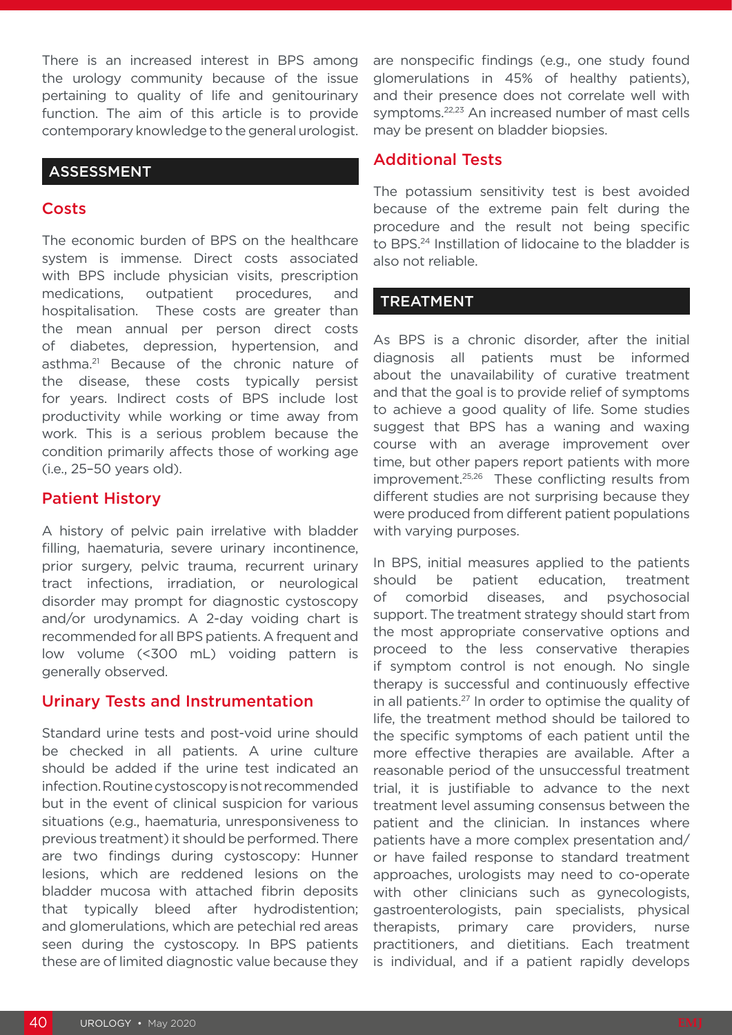There is an increased interest in BPS among the urology community because of the issue pertaining to quality of life and genitourinary function. The aim of this article is to provide contemporary knowledge to the general urologist.

#### ASSESSMENT

#### **Costs**

The economic burden of BPS on the healthcare system is immense. Direct costs associated with BPS include physician visits, prescription medications, outpatient procedures, and hospitalisation. These costs are greater than the mean annual per person direct costs of diabetes, depression, hypertension, and asthma.21 Because of the chronic nature of the disease, these costs typically persist for years. Indirect costs of BPS include lost productivity while working or time away from work. This is a serious problem because the condition primarily affects those of working age (i.e., 25–50 years old).

#### Patient History

A history of pelvic pain irrelative with bladder filling, haematuria, severe urinary incontinence, prior surgery, pelvic trauma, recurrent urinary tract infections, irradiation, or neurological disorder may prompt for diagnostic cystoscopy and/or urodynamics. A 2-day voiding chart is recommended for all BPS patients. A frequent and low volume (<300 mL) voiding pattern is generally observed.

#### Urinary Tests and Instrumentation

Standard urine tests and post-void urine should be checked in all patients. A urine culture should be added if the urine test indicated an infection. Routine cystoscopy is not recommended but in the event of clinical suspicion for various situations (e.g., haematuria, unresponsiveness to previous treatment) it should be performed. There are two findings during cystoscopy: Hunner lesions, which are reddened lesions on the bladder mucosa with attached fibrin deposits that typically bleed after hydrodistention; and glomerulations, which are petechial red areas seen during the cystoscopy. In BPS patients these are of limited diagnostic value because they are nonspecific findings (e.g., one study found glomerulations in 45% of healthy patients), and their presence does not correlate well with symptoms.<sup>22,23</sup> An increased number of mast cells may be present on bladder biopsies.

#### Additional Tests

The potassium sensitivity test is best avoided because of the extreme pain felt during the procedure and the result not being specific to BPS.24 Instillation of lidocaine to the bladder is also not reliable.

#### TREATMENT

As BPS is a chronic disorder, after the initial diagnosis all patients must be informed about the unavailability of curative treatment and that the goal is to provide relief of symptoms to achieve a good quality of life. Some studies suggest that BPS has a waning and waxing course with an average improvement over time, but other papers report patients with more improvement.25,26 These conflicting results from different studies are not surprising because they were produced from different patient populations with varying purposes.

In BPS, initial measures applied to the patients should be patient education, treatment of comorbid diseases, and psychosocial support. The treatment strategy should start from the most appropriate conservative options and proceed to the less conservative therapies if symptom control is not enough. No single therapy is successful and continuously effective in all patients.27 In order to optimise the quality of life, the treatment method should be tailored to the specific symptoms of each patient until the more effective therapies are available. After a reasonable period of the unsuccessful treatment trial, it is justifiable to advance to the next treatment level assuming consensus between the patient and the clinician. In instances where patients have a more complex presentation and/ or have failed response to standard treatment approaches, urologists may need to co-operate with other clinicians such as gynecologists, gastroenterologists, pain specialists, physical therapists, primary care providers, nurse practitioners, and dietitians. Each treatment is individual, and if a patient rapidly develops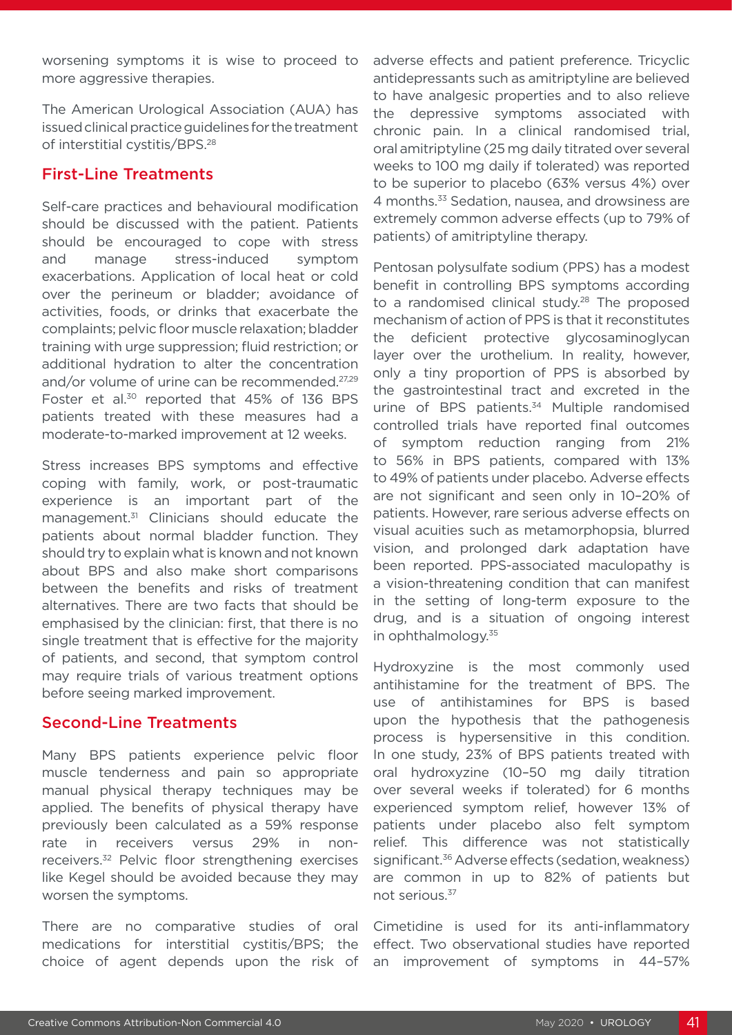worsening symptoms it is wise to proceed to more aggressive therapies.

The American Urological Association (AUA) has issued clinical practice guidelines for the treatment of interstitial cystitis/BPS.28

### First-Line Treatments

Self-care practices and behavioural modification should be discussed with the patient. Patients should be encouraged to cope with stress and manage stress-induced symptom exacerbations. Application of local heat or cold over the perineum or bladder; avoidance of activities, foods, or drinks that exacerbate the complaints; pelvic floor muscle relaxation; bladder training with urge suppression; fluid restriction; or additional hydration to alter the concentration and/or volume of urine can be recommended.<sup>27,29</sup> Foster et al.<sup>30</sup> reported that 45% of 136 BPS patients treated with these measures had a moderate-to-marked improvement at 12 weeks.

Stress increases BPS symptoms and effective coping with family, work, or post-traumatic experience is an important part of the management.<sup>31</sup> Clinicians should educate the patients about normal bladder function. They should try to explain what is known and not known about BPS and also make short comparisons between the benefits and risks of treatment alternatives. There are two facts that should be emphasised by the clinician: first, that there is no single treatment that is effective for the majority of patients, and second, that symptom control may require trials of various treatment options before seeing marked improvement.

#### Second-Line Treatments

Many BPS patients experience pelvic floor muscle tenderness and pain so appropriate manual physical therapy techniques may be applied. The benefits of physical therapy have previously been calculated as a 59% response rate in receivers versus 29% in nonreceivers.32 Pelvic floor strengthening exercises like Kegel should be avoided because they may worsen the symptoms.

There are no comparative studies of oral medications for interstitial cystitis/BPS; the choice of agent depends upon the risk of

adverse effects and patient preference. Tricyclic antidepressants such as amitriptyline are believed to have analgesic properties and to also relieve the depressive symptoms associated with chronic pain. In a clinical randomised trial, oral amitriptyline (25 mg daily titrated over several weeks to 100 mg daily if tolerated) was reported to be superior to placebo (63% versus 4%) over 4 months.33 Sedation, nausea, and drowsiness are extremely common adverse effects (up to 79% of patients) of amitriptyline therapy.

Pentosan polysulfate sodium (PPS) has a modest benefit in controlling BPS symptoms according to a randomised clinical study.<sup>28</sup> The proposed mechanism of action of PPS is that it reconstitutes the deficient protective glycosaminoglycan layer over the urothelium. In reality, however, only a tiny proportion of PPS is absorbed by the gastrointestinal tract and excreted in the urine of BPS patients.<sup>34</sup> Multiple randomised controlled trials have reported final outcomes of symptom reduction ranging from 21% to 56% in BPS patients, compared with 13% to 49% of patients under placebo. Adverse effects are not significant and seen only in 10–20% of patients. However, rare serious adverse effects on visual acuities such as metamorphopsia, blurred vision, and prolonged dark adaptation have been reported. PPS-associated maculopathy is a vision-threatening condition that can manifest in the setting of long-term exposure to the drug, and is a situation of ongoing interest in ophthalmology.35

Hydroxyzine is the most commonly used antihistamine for the treatment of BPS. The use of antihistamines for BPS is based upon the hypothesis that the pathogenesis process is hypersensitive in this condition. In one study, 23% of BPS patients treated with oral hydroxyzine (10–50 mg daily titration over several weeks if tolerated) for 6 months experienced symptom relief, however 13% of patients under placebo also felt symptom relief. This difference was not statistically significant.<sup>36</sup> Adverse effects (sedation, weakness) are common in up to 82% of patients but not serious.37

Cimetidine is used for its anti-inflammatory effect. Two observational studies have reported an improvement of symptoms in 44–57%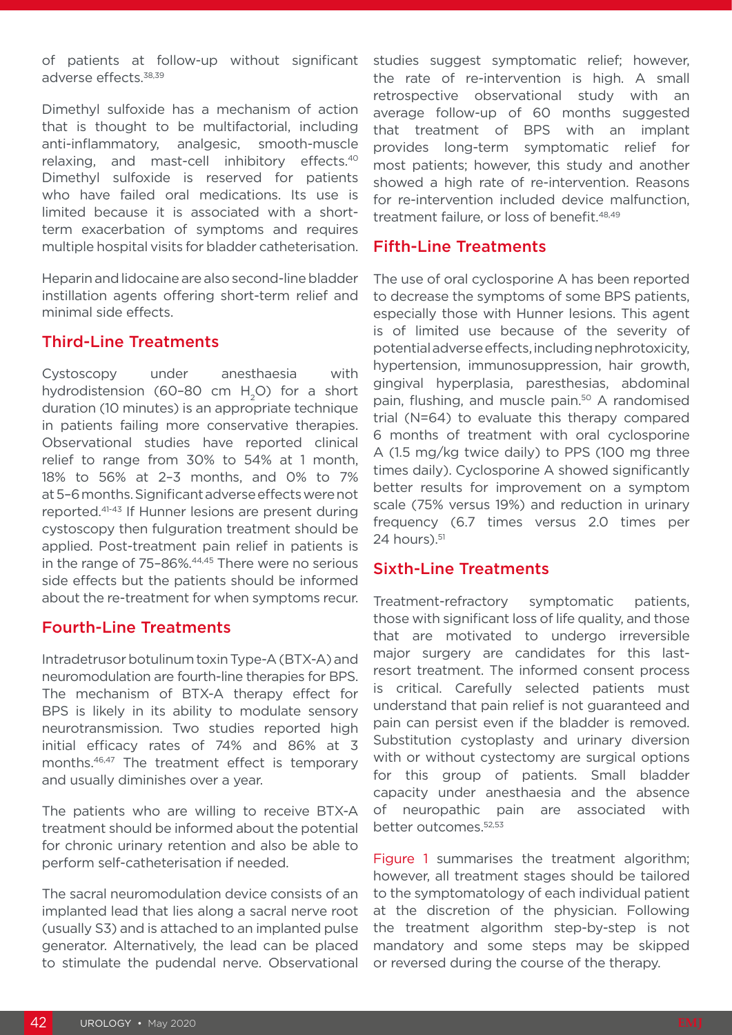of patients at follow-up without significant adverse effects.38,39

Dimethyl sulfoxide has a mechanism of action that is thought to be multifactorial, including anti-inflammatory, analgesic, smooth-muscle relaxing, and mast-cell inhibitory effects.40 Dimethyl sulfoxide is reserved for patients who have failed oral medications. Its use is limited because it is associated with a shortterm exacerbation of symptoms and requires multiple hospital visits for bladder catheterisation.

Heparin and lidocaine are also second-line bladder instillation agents offering short-term relief and minimal side effects.

#### Third-Line Treatments

Cystoscopy under anesthaesia with hydrodistension (60-80 cm  $H<sub>2</sub>O$ ) for a short duration (10 minutes) is an appropriate technique in patients failing more conservative therapies. Observational studies have reported clinical relief to range from 30% to 54% at 1 month, 18% to 56% at 2–3 months, and 0% to 7% at 5–6 months. Significant adverse effects were not reported.41-43 If Hunner lesions are present during cystoscopy then fulguration treatment should be applied. Post-treatment pain relief in patients is in the range of 75-86%.<sup>44,45</sup> There were no serious side effects but the patients should be informed about the re-treatment for when symptoms recur.

### Fourth-Line Treatments

Intradetrusor botulinum toxin Type-A (BTX-A) and neuromodulation are fourth-line therapies for BPS. The mechanism of BTX-A therapy effect for BPS is likely in its ability to modulate sensory neurotransmission. Two studies reported high initial efficacy rates of 74% and 86% at 3 months.46,47 The treatment effect is temporary and usually diminishes over a year.

The patients who are willing to receive BTX-A treatment should be informed about the potential for chronic urinary retention and also be able to perform self-catheterisation if needed.

The sacral neuromodulation device consists of an implanted lead that lies along a sacral nerve root (usually S3) and is attached to an implanted pulse generator. Alternatively, the lead can be placed to stimulate the pudendal nerve. Observational studies suggest symptomatic relief; however, the rate of re-intervention is high. A small retrospective observational study with an average follow-up of 60 months suggested that treatment of BPS with an implant provides long-term symptomatic relief for most patients; however, this study and another showed a high rate of re-intervention. Reasons for re-intervention included device malfunction, treatment failure, or loss of benefit.<sup>48,49</sup>

## Fifth-Line Treatments

The use of oral cyclosporine A has been reported to decrease the symptoms of some BPS patients, especially those with Hunner lesions. This agent is of limited use because of the severity of potential adverse effects, including nephrotoxicity, hypertension, immunosuppression, hair growth, gingival hyperplasia, paresthesias, abdominal pain, flushing, and muscle pain.<sup>50</sup> A randomised trial (N=64) to evaluate this therapy compared 6 months of treatment with oral cyclosporine A (1.5 mg/kg twice daily) to PPS (100 mg three times daily). Cyclosporine A showed significantly better results for improvement on a symptom scale (75% versus 19%) and reduction in urinary frequency (6.7 times versus 2.0 times per  $24$  hours). $51$ 

### Sixth-Line Treatments

Treatment-refractory symptomatic patients, those with significant loss of life quality, and those that are motivated to undergo irreversible major surgery are candidates for this lastresort treatment. The informed consent process is critical. Carefully selected patients must understand that pain relief is not guaranteed and pain can persist even if the bladder is removed. Substitution cystoplasty and urinary diversion with or without cystectomy are surgical options for this group of patients. Small bladder capacity under anesthaesia and the absence of neuropathic pain are associated with better outcomes.52,53

Figure 1 summarises the treatment algorithm; however, all treatment stages should be tailored to the symptomatology of each individual patient at the discretion of the physician. Following the treatment algorithm step-by-step is not mandatory and some steps may be skipped or reversed during the course of the therapy.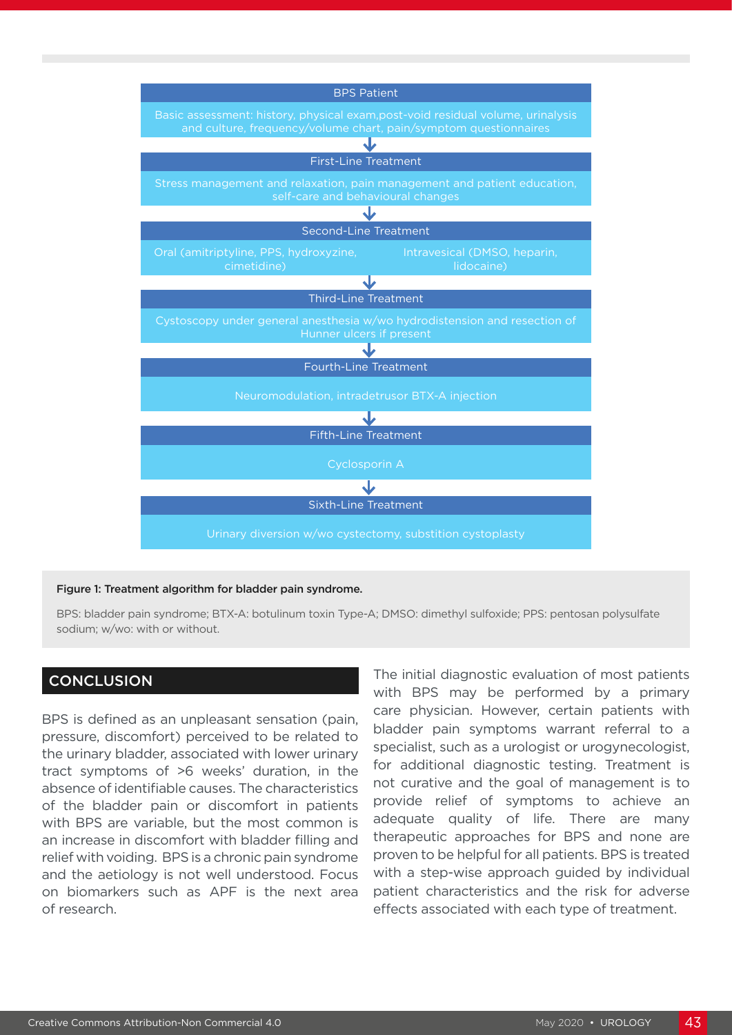

#### Figure 1: Treatment algorithm for bladder pain syndrome.

BPS: bladder pain syndrome; BTX-A: botulinum toxin Type-A; DMSO: dimethyl sulfoxide; PPS: pentosan polysulfate sodium; w/wo: with or without.

#### **CONCLUSION**

BPS is defined as an unpleasant sensation (pain, pressure, discomfort) perceived to be related to the urinary bladder, associated with lower urinary tract symptoms of >6 weeks' duration, in the absence of identifiable causes. The characteristics of the bladder pain or discomfort in patients with BPS are variable, but the most common is an increase in discomfort with bladder filling and relief with voiding. BPS is a chronic pain syndrome and the aetiology is not well understood. Focus on biomarkers such as APF is the next area of research.

The initial diagnostic evaluation of most patients with BPS may be performed by a primary care physician. However, certain patients with bladder pain symptoms warrant referral to a specialist, such as a urologist or urogynecologist, for additional diagnostic testing. Treatment is not curative and the goal of management is to provide relief of symptoms to achieve an adequate quality of life. There are many therapeutic approaches for BPS and none are proven to be helpful for all patients. BPS is treated with a step-wise approach quided by individual patient characteristics and the risk for adverse effects associated with each type of treatment.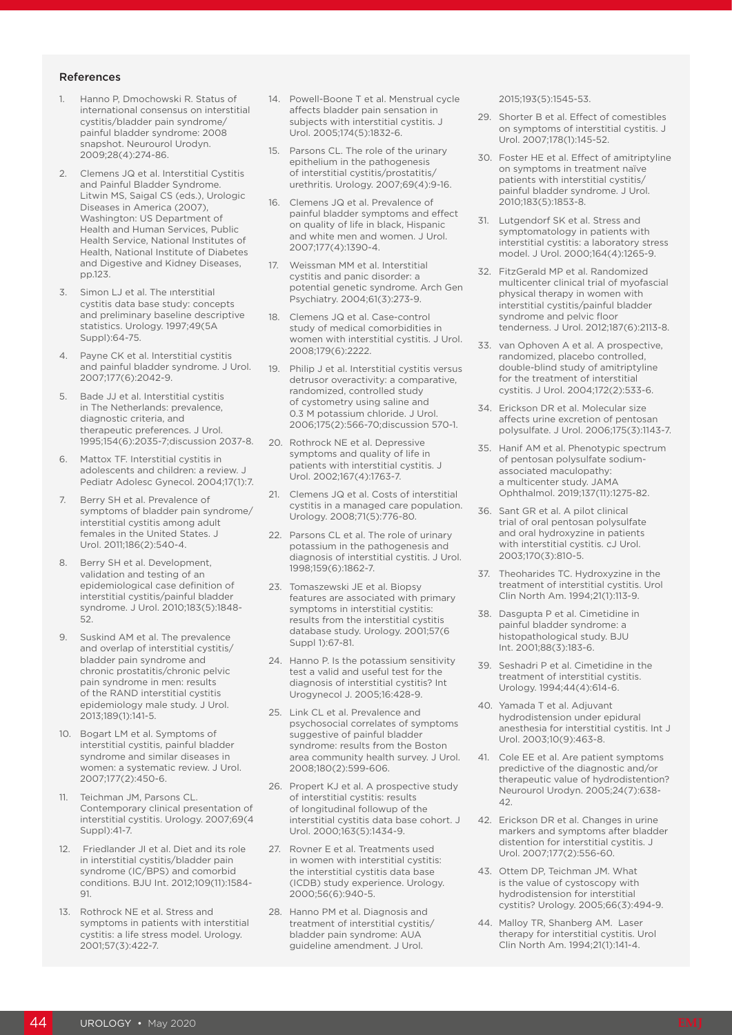#### References

- 1. Hanno P, Dmochowski R. Status of international consensus on interstitial cystitis/bladder pain syndrome/ painful bladder syndrome: 2008 snapshot. Neurourol Urodyn. 2009;28(4):274-86.
- 2. Clemens JQ et al. Interstitial Cystitis and Painful Bladder Syndrome. Litwin MS, Saigal CS (eds.), Urologic Diseases in America (2007), Washington: US Department of Health and Human Services, Public Health Service, National Institutes of Health, National Institute of Diabetes and Digestive and Kidney Diseases, pp.123.
- 3. Simon LJ et al. The ınterstitial cystitis data base study: concepts and preliminary baseline descriptive statistics. Urology. 1997;49(5A Suppl):64-75.
- Payne CK et al. Interstitial cystitis and painful bladder syndrome. J Urol. 2007;177(6):2042-9.
- 5. Bade JJ et al. Interstitial cystitis in The Netherlands: prevalence, diagnostic criteria, and therapeutic preferences. J Urol. 1995;154(6):2035-7;discussion 2037-8.
- 6. Mattox TF. Interstitial cystitis in adolescents and children: a review. J Pediatr Adolesc Gynecol. 2004;17(1):7.
- 7. Berry SH et al. Prevalence of symptoms of bladder pain syndrome/ interstitial cystitis among adult females in the United States. J Urol. 2011;186(2):540-4.
- 8. Berry SH et al. Development, validation and testing of an epidemiological case definition of interstitial cystitis/painful bladder syndrome. J Urol. 2010;183(5):1848- 52.
- 9. Suskind AM et al. The prevalence and overlap of interstitial cystitis/ bladder pain syndrome and chronic prostatitis/chronic pelvic pain syndrome in men: results of the RAND interstitial cystitis epidemiology male study. J Urol. 2013;189(1):141-5.
- 10. Bogart LM et al. Symptoms of interstitial cystitis, painful bladder syndrome and similar diseases in women: a systematic review. J Urol. 2007;177(2):450-6.
- 11. Teichman JM, Parsons CL. Contemporary clinical presentation of interstitial cystitis. Urology. 2007;69(4 Suppl):41-7.
- 12. Friedlander JI et al. Diet and its role in interstitial cystitis/bladder pain syndrome (IC/BPS) and comorbid conditions. BJU Int. 2012;109(11):1584- 91.
- 13. Rothrock NE et al. Stress and symptoms in patients with interstitial cystitis: a life stress model. Urology. 2001;57(3):422-7.
- 14. Powell-Boone T et al. Menstrual cycle affects bladder pain sensation in subjects with interstitial cystitis. J Urol. 2005;174(5):1832-6.
- 15. Parsons CL. The role of the urinary epithelium in the pathogenesis of interstitial cystitis/prostatitis/ urethritis. Urology. 2007;69(4):9-16.
- 16. Clemens JQ et al. Prevalence of painful bladder symptoms and effect on quality of life in black, Hispanic and white men and women. J Urol. 2007;177(4):1390-4.
- 17. Weissman MM et al. Interstitial cystitis and panic disorder: a potential genetic syndrome. Arch Gen Psychiatry. 2004;61(3):273-9.
- 18. Clemens JQ et al. Case-control study of medical comorbidities in women with interstitial cystitis. J Urol. 2008;179(6):2222.
- 19. Philip J et al. Interstitial cystitis versus detrusor overactivity: a comparative, randomized, controlled study of cystometry using saline and 0.3 M potassium chloride. J Urol. 2006;175(2):566-70;discussion 570-1.
- 20. Rothrock NE et al. Depressive symptoms and quality of life in patients with interstitial cystitis. J Urol. 2002;167(4):1763-7.
- 21. Clemens JQ et al. Costs of interstitial cystitis in a managed care population. Urology. 2008;71(5):776-80.
- 22. Parsons CL et al. The role of urinary potassium in the pathogenesis and diagnosis of interstitial cystitis. J Urol. 1998;159(6):1862-7.
- 23. Tomaszewski JE et al. Biopsy features are associated with primary symptoms in interstitial cystitis: results from the interstitial cystitis database study. Urology. 2001;57(6 Suppl 1):67-81.
- 24. Hanno P. Is the potassium sensitivity test a valid and useful test for the diagnosis of interstitial cystitis? Int Urogynecol J. 2005;16:428-9.
- 25. Link CL et al. Prevalence and psychosocial correlates of symptoms suggestive of painful bladder syndrome: results from the Boston area community health survey. J Urol. 2008;180(2):599-606.
- 26. Propert KJ et al. A prospective study of interstitial cystitis: results of longitudinal followup of the interstitial cystitis data base cohort. J Urol. 2000;163(5):1434-9.
- 27. Rovner E et al. Treatments used in women with interstitial cystitis: the interstitial cystitis data base (ICDB) study experience. Urology. 2000;56(6):940-5.
- 28. Hanno PM et al. Diagnosis and treatment of interstitial cystitis/ bladder pain syndrome: AUA guideline amendment. J Urol.

2015;193(5):1545-53.

- 29. Shorter B et al. Effect of comestibles on symptoms of interstitial cystitis. J Urol. 2007;178(1):145-52.
- 30. Foster HE et al. Effect of amitriptyline on symptoms in treatment naïve patients with interstitial cystitis/ painful bladder syndrome. J Urol. 2010;183(5):1853-8.
- 31. Lutgendorf SK et al. Stress and symptomatology in patients with interstitial cystitis: a laboratory stress model. J Urol. 2000;164(4):1265-9.
- 32. FitzGerald MP et al. Randomized multicenter clinical trial of myofascial physical therapy in women with interstitial cystitis/painful bladder syndrome and pelvic floor tenderness. J Urol. 2012;187(6):2113-8.
- 33. van Ophoven A et al. A prospective, randomized, placebo controlled, double-blind study of amitriptyline for the treatment of interstitial cystitis. J Urol. 2004;172(2):533-6.
- 34. Erickson DR et al. Molecular size affects urine excretion of pentosan polysulfate. J Urol. 2006;175(3):1143-7.
- 35. Hanif AM et al. Phenotypic spectrum of pentosan polysulfate sodiumassociated maculopathy: a multicenter study. JAMA Ophthalmol. 2019;137(11):1275-82.
- 36. Sant GR et al. A pilot clinical trial of oral pentosan polysulfate and oral hydroxyzine in patients with interstitial cystitis. cJ Urol. 2003;170(3):810-5.
- 37. Theoharides TC. Hydroxyzine in the treatment of interstitial cystitis. Urol Clin North Am. 1994;21(1):113-9.
- 38. Dasgupta P et al. Cimetidine in painful bladder syndrome: a histopathological study. BJU Int. 2001;88(3):183-6.
- 39. Seshadri P et al. Cimetidine in the treatment of interstitial cystitis. Urology. 1994;44(4):614-6.
- 40. Yamada T et al. Adjuvant hydrodistension under epidural anesthesia for interstitial cystitis. Int J Urol. 2003;10(9):463-8.
- 41. Cole EE et al. Are patient symptoms predictive of the diagnostic and/or therapeutic value of hydrodistention? Neurourol Urodyn. 2005;24(7):638- 42.
- 42. Erickson DR et al. Changes in urine markers and symptoms after bladder distention for interstitial cystitis. J Urol. 2007;177(2):556-60.
- 43. Ottem DP, Teichman JM. What is the value of cystoscopy with hydrodistension for interstitial cystitis? Urology. 2005;66(3):494-9.
- 44. Malloy TR, Shanberg AM. Laser therapy for interstitial cystitis. Urol Clin North Am. 1994;21(1):141-4.